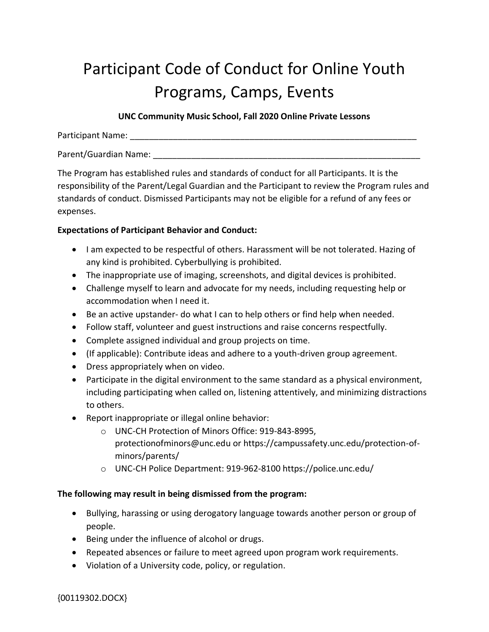# Participant Code of Conduct for Online Youth Programs, Camps, Events

### **UNC Community Music School, Fall 2020 Online Private Lessons**

Participant Name: \_\_\_\_\_\_\_\_\_\_\_\_\_\_\_\_\_\_\_\_\_\_\_\_\_\_\_\_\_\_\_\_\_\_\_\_\_\_\_\_\_\_\_\_\_\_\_\_\_\_\_\_\_\_\_\_\_\_\_\_

Parent/Guardian Name: \_\_\_\_\_\_\_\_\_\_\_\_\_\_\_\_\_\_\_\_\_\_\_\_\_\_\_\_\_\_\_\_\_\_\_\_\_\_\_\_\_\_\_\_\_\_\_\_\_\_\_\_\_\_\_\_

The Program has established rules and standards of conduct for all Participants. It is the responsibility of the Parent/Legal Guardian and the Participant to review the Program rules and standards of conduct. Dismissed Participants may not be eligible for a refund of any fees or expenses.

#### **Expectations of Participant Behavior and Conduct:**

- I am expected to be respectful of others. Harassment will be not tolerated. Hazing of any kind is prohibited. Cyberbullying is prohibited.
- The inappropriate use of imaging, screenshots, and digital devices is prohibited.
- Challenge myself to learn and advocate for my needs, including requesting help or accommodation when I need it.
- Be an active upstander- do what I can to help others or find help when needed.
- Follow staff, volunteer and guest instructions and raise concerns respectfully.
- Complete assigned individual and group projects on time.
- (If applicable): Contribute ideas and adhere to a youth-driven group agreement.
- Dress appropriately when on video.
- Participate in the digital environment to the same standard as a physical environment, including participating when called on, listening attentively, and minimizing distractions to others.
- Report inappropriate or illegal online behavior:
	- o UNC-CH Protection of Minors Office: 919-843-8995,
		- protectionofminors@unc.edu or https://campussafety.unc.edu/protection-ofminors/parents/
	- o UNC-CH Police Department: 919-962-8100 https://police.unc.edu/

#### **The following may result in being dismissed from the program:**

- Bullying, harassing or using derogatory language towards another person or group of people.
- Being under the influence of alcohol or drugs.
- Repeated absences or failure to meet agreed upon program work requirements.
- Violation of a University code, policy, or regulation.

{00119302.DOCX}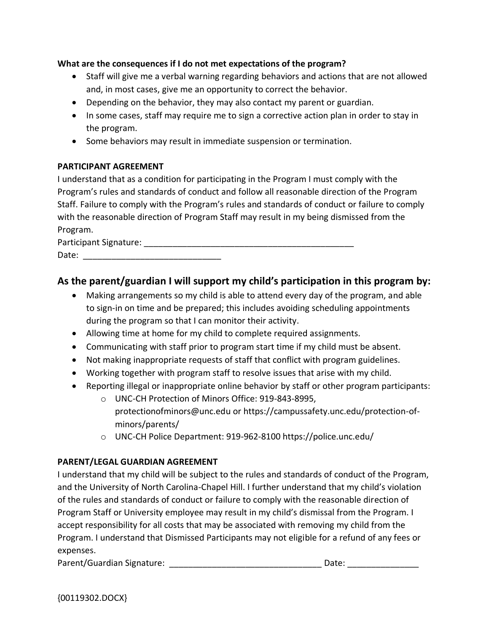#### **What are the consequences if I do not met expectations of the program?**

- Staff will give me a verbal warning regarding behaviors and actions that are not allowed and, in most cases, give me an opportunity to correct the behavior.
- Depending on the behavior, they may also contact my parent or guardian.
- In some cases, staff may require me to sign a corrective action plan in order to stay in the program.
- Some behaviors may result in immediate suspension or termination.

#### **PARTICIPANT AGREEMENT**

I understand that as a condition for participating in the Program I must comply with the Program's rules and standards of conduct and follow all reasonable direction of the Program Staff. Failure to comply with the Program's rules and standards of conduct or failure to comply with the reasonable direction of Program Staff may result in my being dismissed from the Program.

| Participant Signature: |  |  |
|------------------------|--|--|
| Date:                  |  |  |

## **As the parent/guardian I will support my child's participation in this program by:**

- Making arrangements so my child is able to attend every day of the program, and able to sign-in on time and be prepared; this includes avoiding scheduling appointments during the program so that I can monitor their activity.
- Allowing time at home for my child to complete required assignments.
- Communicating with staff prior to program start time if my child must be absent.
- Not making inappropriate requests of staff that conflict with program guidelines.
- Working together with program staff to resolve issues that arise with my child.
- Reporting illegal or inappropriate online behavior by staff or other program participants:
	- o UNC-CH Protection of Minors Office: 919-843-8995, protectionofminors@unc.edu or https://campussafety.unc.edu/protection-ofminors/parents/
	- o UNC-CH Police Department: 919-962-8100 https://police.unc.edu/

#### **PARENT/LEGAL GUARDIAN AGREEMENT**

I understand that my child will be subject to the rules and standards of conduct of the Program, and the University of North Carolina-Chapel Hill. I further understand that my child's violation of the rules and standards of conduct or failure to comply with the reasonable direction of Program Staff or University employee may result in my child's dismissal from the Program. I accept responsibility for all costs that may be associated with removing my child from the Program. I understand that Dismissed Participants may not eligible for a refund of any fees or expenses.

Parent/Guardian Signature: \_\_\_\_\_\_\_\_\_\_\_\_\_\_\_\_\_\_\_\_\_\_\_\_\_\_\_\_\_\_\_\_ Date: \_\_\_\_\_\_\_\_\_\_\_\_\_\_\_